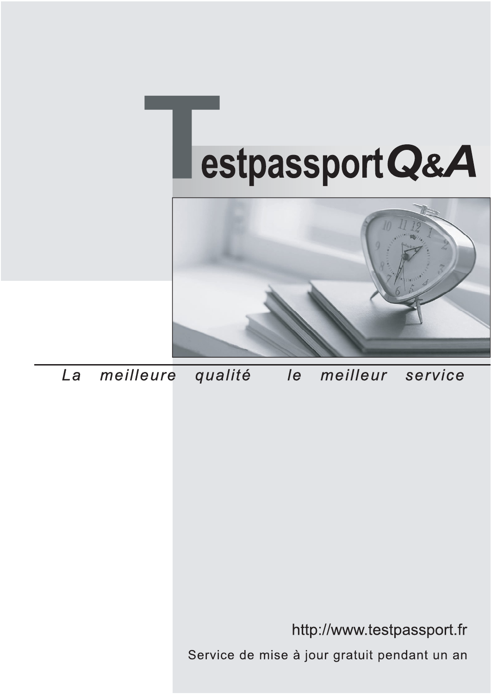



meilleure La qualité  $\overline{e}$ meilleur service

http://www.testpassport.fr

Service de mise à jour gratuit pendant un an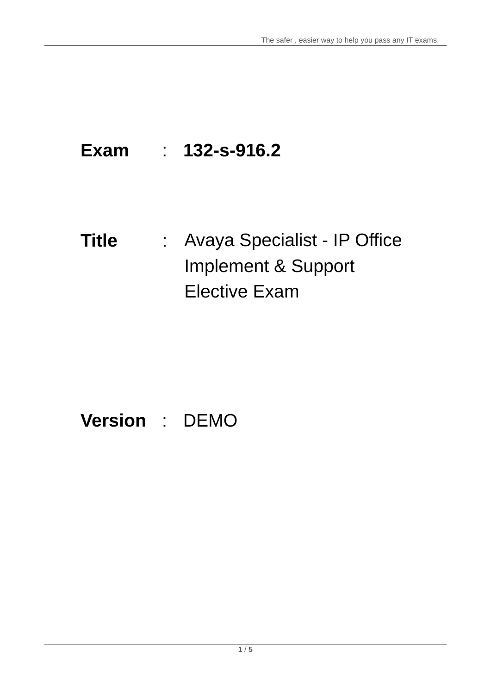# **Exam** : **132-s-916.2**

# **Title** : Avaya Specialist - IP Office Implement & Support Elective Exam

# **Version** : DEMO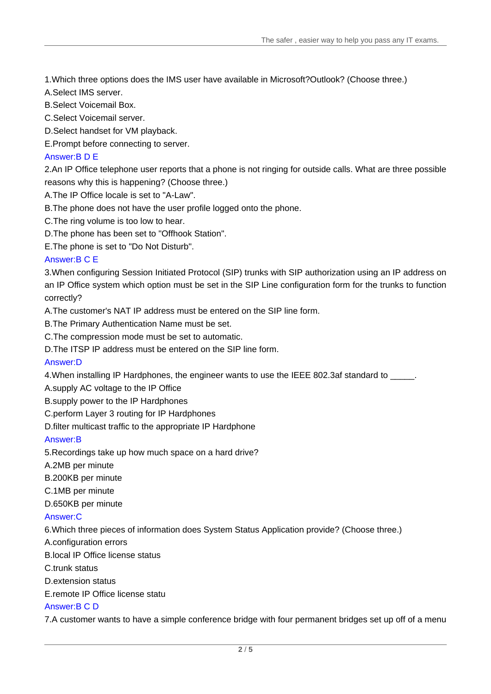1.Which three options does the IMS user have available in Microsoft?Outlook? (Choose three.)

- A.Select IMS server.
- B.Select Voicemail Box.
- C.Select Voicemail server.
- D.Select handset for VM playback.
- E.Prompt before connecting to server.

# Answer:B D E

2.An IP Office telephone user reports that a phone is not ringing for outside calls. What are three possible reasons why this is happening? (Choose three.)

- A.The IP Office locale is set to "A-Law".
- B.The phone does not have the user profile logged onto the phone.
- C.The ring volume is too low to hear.
- D.The phone has been set to "Offhook Station".
- E.The phone is set to "Do Not Disturb".

## Answer:B C E

3.When configuring Session Initiated Protocol (SIP) trunks with SIP authorization using an IP address on an IP Office system which option must be set in the SIP Line configuration form for the trunks to function correctly? The contract of the contract of the contract of the contract of the contract of the contract of the contract of the contract of the contract of the contract of the contract of the contract of the contract of the

A.The customer's NAT IP address must be entered on the SIP line form.

- B.The Primary Authentication Name must be set.
- C.The compression mode must be set to automatic.
- D.The ITSP IP address must be entered on the SIP line form.

#### Answer:D

4. When installing IP Hardphones, the engineer wants to use the IEEE 802.3af standard to

- A.supply AC voltage to the IP Office
- B.supply power to the IP Hardphones
- C.perform Layer 3 routing for IP Hardphones
- D.filter multicast traffic to the appropriate IP Hardphone

#### Answer:B

- 5.Recordings take up how much space on a hard drive?
- A.2MB per minute
- B.200KB per minute
- C.1MB per minute
- D.650KB per minute

#### Answer:C

6.Which three pieces of information does System Status Application provide? (Choose three.)

- A.configuration errors
- B.local IP Office license status
- C.trunk status
- D.extension status
- E.remote IP Office license statu

#### Answer:B C D

7.A customer wants to have a simple conference bridge with four permanent bridges set up off of a menu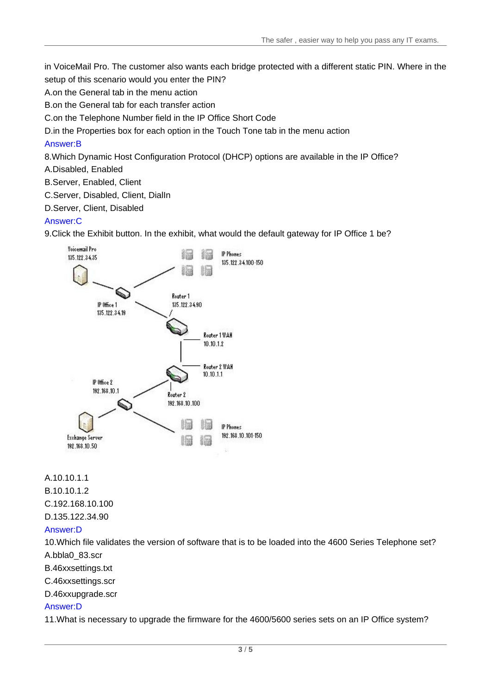in VoiceMail Pro. The customer also wants each bridge protected with a different static PIN. Where in the setup of this scenario would you enter the PIN?

A.on the General tab in the menu action

B.on the General tab for each transfer action

C.on the Telephone Number field in the IP Office Short Code

D.in the Properties box for each option in the Touch Tone tab in the menu action

# Answer:B

8.Which Dynamic Host Configuration Protocol (DHCP) options are available in the IP Office?

A.Disabled, Enabled

- B.Server, Enabled, Client
- C.Server, Disabled, Client, DialIn

D.Server, Client, Disabled

## Answer:C

9.Click the Exhibit button. In the exhibit, what would the default gateway for IP Office 1 be?



A.10.10.1.1 B.10.10.1.2 C.192.168.10.100 D.135.122.34.90

#### Answer:D

10.Which file validates the version of software that is to be loaded into the 4600 Series Telephone set? A.bbla0\_83.scr

B.46xxsettings.txt

C.46xxsettings.scr

D.46xxupgrade.scr

#### Answer:D

11.What is necessary to upgrade the firmware for the 4600/5600 series sets on an IP Office system?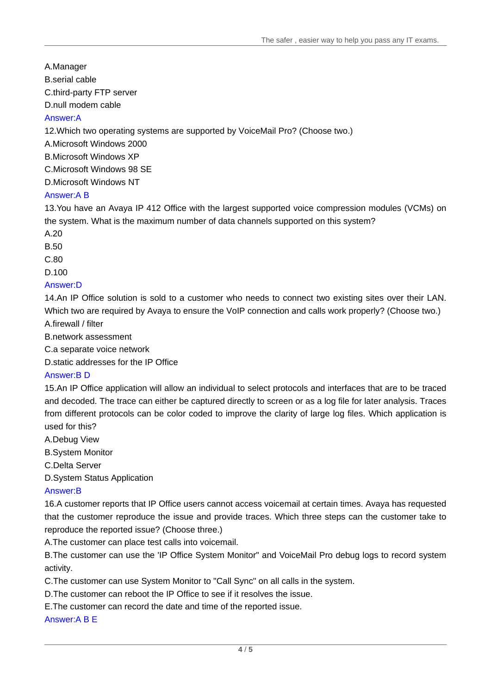A.Manager

B.serial cable

C.third-party FTP server

D.null modem cable

# Answer:A

12.Which two operating systems are supported by VoiceMail Pro? (Choose two.)

A.Microsoft Windows 2000

B.Microsoft Windows XP

C.Microsoft Windows 98 SE

D.Microsoft Windows NT

# Answer:A B

13.You have an Avaya IP 412 Office with the largest supported voice compression modules (VCMs) on the system. What is the maximum number of data channels supported on this system?

A.20

B.50 and the contract of the contract of the contract of the contract of the contract of the contract of the contract of the contract of the contract of the contract of the contract of the contract of the contract of the c

C.80

D.100

# Answer:D

14.An IP Office solution is sold to a customer who needs to connect two existing sites over their LAN. Which two are required by Avaya to ensure the VoIP connection and calls work properly? (Choose two.) A.firewall / filter

B.network assessment

C.a separate voice network

D.static addresses for the IP Office

# Answer:B D

15.An IP Office application will allow an individual to select protocols and interfaces that are to be traced and decoded. The trace can either be captured directly to screen or as a log file for later analysis. Traces from different protocols can be color coded to improve the clarity of large log files. Which application is used for this?

A.Debug View

B.System Monitor

C.Delta Server

D.System Status Application

# Answer:B

16.A customer reports that IP Office users cannot access voicemail at certain times. Avaya has requested that the customer reproduce the issue and provide traces. Which three steps can the customer take to reproduce the reported issue? (Choose three.)

A.The customer can place test calls into voicemail.

B.The customer can use the 'IP Office System Monitor" and VoiceMail Pro debug logs to record system activity.

C.The customer can use System Monitor to "Call Sync" on all calls in the system.

D.The customer can reboot the IP Office to see if it resolves the issue.

E.The customer can record the date and time of the reported issue.

# Answer:A B E